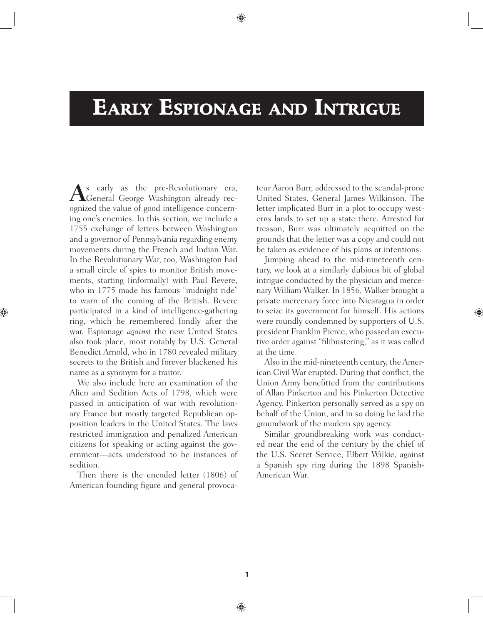# **EARLY ESPIONAGE AND INTRIGUE**

**A**s early as the pre-Revolutionary era,<br>General George Washington already rec-<br>ognized the value of good intelligence concerning one's enemies. In this section, we include a General George Washington already recognized the value of good intelligence concerning one's enemies. In this section, we include a 1755 exchange of letters between Washington and a governor of Pennsylvania regarding enemy movements during the French and Indian War. In the Revolutionary War, too, Washington had a small circle of spies to monitor British movements, starting (informally) with Paul Revere, who in 1775 made his famous "midnight ride" to warn of the coming of the British. Revere participated in a kind of intelligence-gathering ring, which he remembered fondly after the war. Espionage *against* the new United States also took place, most notably by U.S. General Benedict Arnold, who in 1780 revealed military secrets to the British and forever blackened his name as a synonym for a traitor.

We also include here an examination of the Alien and Sedition Acts of 1798, which were passed in anticipation of war with revolutionary France but mostly targeted Republican opposition leaders in the United States. The laws restricted immigration and penalized American citizens for speaking or acting against the government—acts understood to be instances of sedition.

Then there is the encoded letter (1806) of American founding figure and general provocateur Aaron Burr, addressed to the scandal-prone United States. General James Wilkinson. The letter implicated Burr in a plot to occupy westerns lands to set up a state there. Arrested for treason, Burr was ultimately acquitted on the grounds that the letter was a copy and could not be taken as evidence of his plans or intentions.

Jumping ahead to the mid-nineteenth century, we look at a similarly dubious bit of global intrigue conducted by the physician and mercenary William Walker. In 1856, Walker brought a private mercenary force into Nicaragua in order to seize its government for himself. His actions were roundly condemned by supporters of U.S. president Franklin Pierce, who passed an executive order against "filibustering," as it was called at the time.

Also in the mid-nineteenth century, the American Civil War erupted. During that conflict, the Union Army benefitted from the contributions of Allan Pinkerton and his Pinkerton Detective Agency. Pinkerton personally served as a spy on behalf of the Union, and in so doing he laid the groundwork of the modern spy agency.

Similar groundbreaking work was conducted near the end of the century by the chief of the U.S. Secret Service, Elbert Wilkie, against a Spanish spy ring during the 1898 Spanish-American War.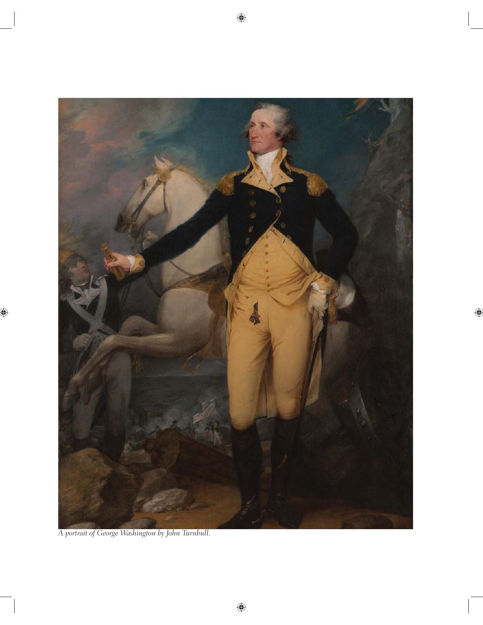

*A portrait of George Washington by John Turnbull.*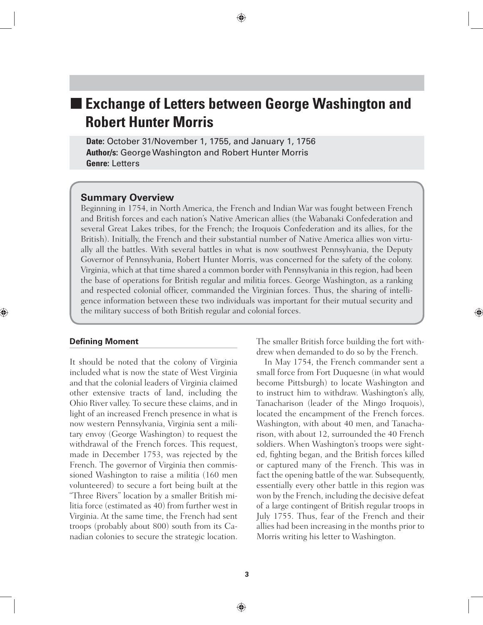# **Exchange of Letters between George Washington and Robert Hunter Morris**

**Date:** October 31/November 1, 1755, and January 1, 1756 **Author/s:** George Washington and Robert Hunter Morris **Genre:** Letters

#### **Summary Overview**

Beginning in 1754, in North America, the French and Indian War was fought between French and British forces and each nation's Native American allies (the Wabanaki Confederation and several Great Lakes tribes, for the French; the Iroquois Confederation and its allies, for the British). Initially, the French and their substantial number of Native America allies won virtually all the battles. With several battles in what is now southwest Pennsylvania, the Deputy Governor of Pennsylvania, Robert Hunter Morris, was concerned for the safety of the colony. Virginia, which at that time shared a common border with Pennsylvania in this region, had been the base of operations for British regular and militia forces. George Washington, as a ranking and respected colonial officer, commanded the Virginian forces. Thus, the sharing of intelligence information between these two individuals was important for their mutual security and the military success of both British regular and colonial forces.

#### **Defining Moment**

It should be noted that the colony of Virginia included what is now the state of West Virginia and that the colonial leaders of Virginia claimed other extensive tracts of land, including the Ohio River valley. To secure these claims, and in light of an increased French presence in what is now western Pennsylvania, Virginia sent a military envoy (George Washington) to request the withdrawal of the French forces. This request, made in December 1753, was rejected by the French. The governor of Virginia then commissioned Washington to raise a militia (160 men volunteered) to secure a fort being built at the "Three Rivers" location by a smaller British militia force (estimated as 40) from further west in Virginia. At the same time, the French had sent troops (probably about 800) south from its Canadian colonies to secure the strategic location.

The smaller British force building the fort withdrew when demanded to do so by the French.

In May 1754, the French commander sent a small force from Fort Duquesne (in what would become Pittsburgh) to locate Washington and to instruct him to withdraw. Washington's ally, Tanacharison (leader of the Mingo Iroquois), located the encampment of the French forces. Washington, with about 40 men, and Tanacharison, with about 12, surrounded the 40 French soldiers. When Washington's troops were sighted, fighting began, and the British forces killed or captured many of the French. This was in fact the opening battle of the war. Subsequently, essentially every other battle in this region was won by the French, including the decisive defeat of a large contingent of British regular troops in July 1755. Thus, fear of the French and their allies had been increasing in the months prior to Morris writing his letter to Washington.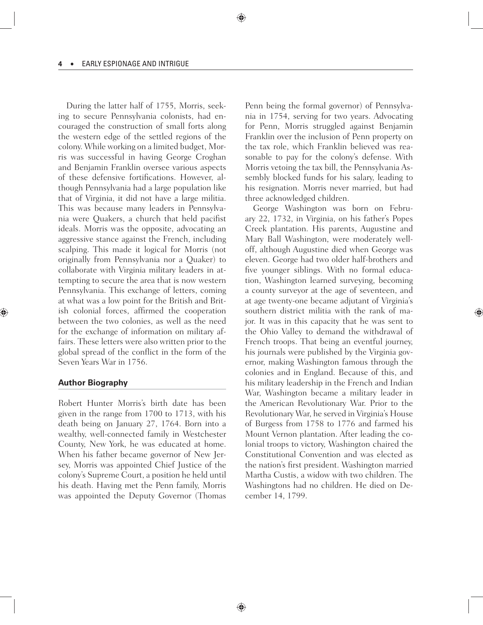During the latter half of 1755, Morris, seeking to secure Pennsylvania colonists, had encouraged the construction of small forts along the western edge of the settled regions of the colony. While working on a limited budget, Morris was successful in having George Croghan and Benjamin Franklin oversee various aspects of these defensive fortifications. However, although Pennsylvania had a large population like that of Virginia, it did not have a large militia. This was because many leaders in Pennsylvania were Quakers, a church that held pacifist ideals. Morris was the opposite, advocating an aggressive stance against the French, including scalping. This made it logical for Morris (not originally from Pennsylvania nor a Quaker) to collaborate with Virginia military leaders in attempting to secure the area that is now western Pennsylvania. This exchange of letters, coming at what was a low point for the British and British colonial forces, affirmed the cooperation between the two colonies, as well as the need for the exchange of information on military affairs. These letters were also written prior to the global spread of the conflict in the form of the Seven Years War in 1756.

#### **Author Biography**

Robert Hunter Morris's birth date has been given in the range from 1700 to 1713, with his death being on January 27, 1764. Born into a wealthy, well-connected family in Westchester County, New York, he was educated at home. When his father became governor of New Jersey, Morris was appointed Chief Justice of the colony's Supreme Court, a position he held until his death. Having met the Penn family, Morris was appointed the Deputy Governor (Thomas Penn being the formal governor) of Pennsylvania in 1754, serving for two years. Advocating for Penn, Morris struggled against Benjamin Franklin over the inclusion of Penn property on the tax role, which Franklin believed was reasonable to pay for the colony's defense. With Morris vetoing the tax bill, the Pennsylvania Assembly blocked funds for his salary, leading to his resignation. Morris never married, but had three acknowledged children.

George Washington was born on February 22, 1732, in Virginia, on his father's Popes Creek plantation. His parents, Augustine and Mary Ball Washington, were moderately welloff, although Augustine died when George was eleven. George had two older half-brothers and five younger siblings. With no formal education, Washington learned surveying, becoming a county surveyor at the age of seventeen, and at age twenty-one became adjutant of Virginia's southern district militia with the rank of major. It was in this capacity that he was sent to the Ohio Valley to demand the withdrawal of French troops. That being an eventful journey, his journals were published by the Virginia governor, making Washington famous through the colonies and in England. Because of this, and his military leadership in the French and Indian War, Washington became a military leader in the American Revolutionary War. Prior to the Revolutionary War, he served in Virginia's House of Burgess from 1758 to 1776 and farmed his Mount Vernon plantation. After leading the colonial troops to victory, Washington chaired the Constitutional Convention and was elected as the nation's first president. Washington married Martha Custis, a widow with two children. The Washingtons had no children. He died on December 14, 1799.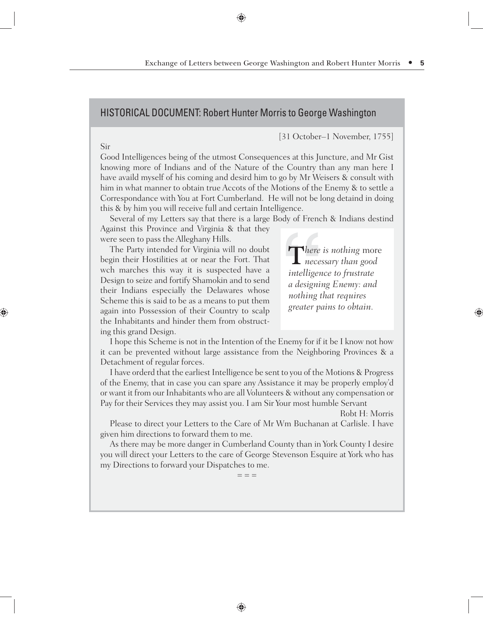# HISTORICAL DOCUMENT: Robert Hunter Morris to George Washington

[31 October–1 November, 1755]

Good Intelligences being of the utmost Consequences at this Juncture, and Mr Gist knowing more of Indians and of the Nature of the Country than any man here I have availd myself of his coming and desird him to go by Mr Weisers & consult with him in what manner to obtain true Accots of the Motions of the Enemy & to settle a Correspondance with You at Fort Cumberland. He will not be long detaind in doing this & by him you will receive full and certain Intelligence.

Several of my Letters say that there is a large Body of French & Indians destind Against this Province and Virginia & that they

were seen to pass the Alleghany Hills.

The Party intended for Virginia will no doubt begin their Hostilities at or near the Fort. That wch marches this way it is suspected have a Design to seize and fortify Shamokin and to send their Indians especially the Delawares whose Scheme this is said to be as a means to put them again into Possession of their Country to scalp the Inhabitants and hinder them from obstructing this grand Design.

**T***here is nothing* more *necessary than good intelligence to frustrate a designing Enemy: and nothing that requires greater pains to obtain.*

I hope this Scheme is not in the Intention of the Enemy for if it be I know not how it can be prevented without large assistance from the Neighboring Provinces & a Detachment of regular forces.

I have orderd that the earliest Intelligence be sent to you of the Motions & Progress of the Enemy, that in case you can spare any Assistance it may be properly employ'd or want it from our Inhabitants who are all Volunteers & without any compensation or Pay for their Services they may assist you. I am Sir Your most humble Servant

Robt H: Morris

Please to direct your Letters to the Care of Mr Wm Buchanan at Carlisle. I have given him directions to forward them to me.

As there may be more danger in Cumberland County than in York County I desire you will direct your Letters to the care of George Stevenson Esquire at York who has my Directions to forward your Dispatches to me.

 $=$   $=$   $=$ 

Sir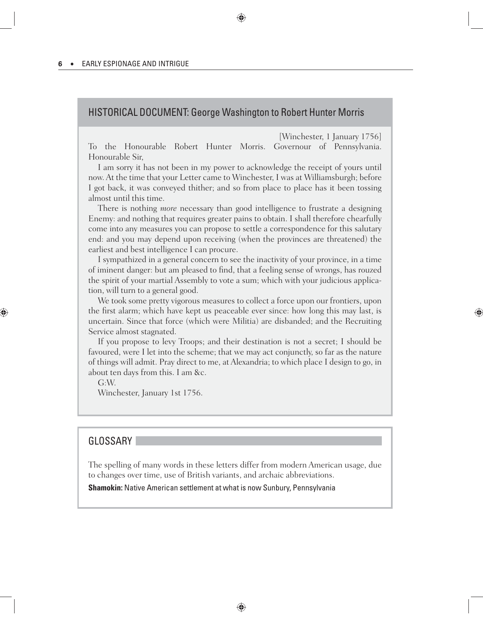# HISTORICAL DOCUMENT: George Washington to Robert Hunter Morris

[Winchester, 1 January 1756]

To the Honourable Robert Hunter Morris. Governour of Pennsylvania. Honourable Sir,

I am sorry it has not been in my power to acknowledge the receipt of yours until now. At the time that your Letter came to Winchester, I was at Williamsburgh; before I got back, it was conveyed thither; and so from place to place has it been tossing almost until this time.

There is nothing *more* necessary than good intelligence to frustrate a designing Enemy: and nothing that requires greater pains to obtain. I shall therefore chearfully come into any measures you can propose to settle a correspondence for this salutary end: and you may depend upon receiving (when the provinces are threatened) the earliest and best intelligence I can procure.

I sympathized in a general concern to see the inactivity of your province, in a time of iminent danger: but am pleased to find, that a feeling sense of wrongs, has rouzed the spirit of your martial Assembly to vote a sum; which with your judicious application, will turn to a general good.

We took some pretty vigorous measures to collect a force upon our frontiers, upon the first alarm; which have kept us peaceable ever since: how long this may last, is uncertain. Since that force (which were Militia) are disbanded; and the Recruiting Service almost stagnated.

If you propose to levy Troops; and their destination is not a secret; I should be favoured, were I let into the scheme; that we may act conjunctly, so far as the nature of things will admit. Pray direct to me, at Alexandria; to which place I design to go, in about ten days from this. I am &c.

G:W.

Winchester, January 1st 1756.

### **GLOSSARY**

The spelling of many words in these letters differ from modern American usage, due to changes over time, use of British variants, and archaic abbreviations.

**Shamokin:** Native American settlement at what is now Sunbury, Pennsylvania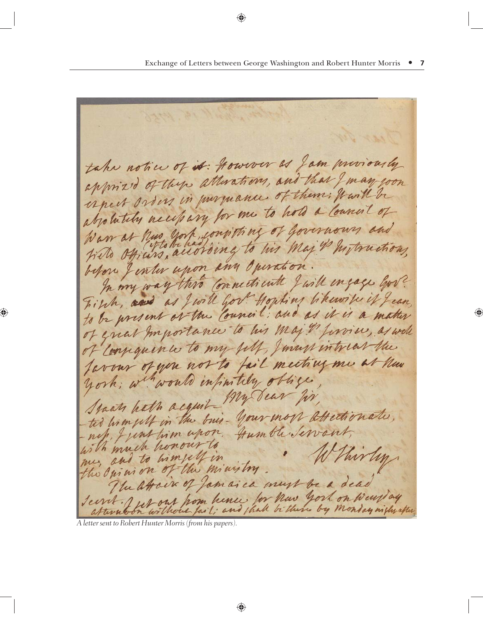take notice of it: However as Jam muriously apprized of these atterations, and that I may you approximation in purmance of them; fourth be aboutily necessary for me to how a Council of War at hus york consisting of governoons and before Jenter upon any Operation. In my way this connecticute J will engage hove First, and as Jwill gov! Hopking likewite it Jean to be present or the Council; and as it is a matter of great Importance to his maj " finrice, as well of compainter to my fill, I mass intreas the favour of you not to fail meeting me at hun york; whwould infinitely oblige Staats hath acquit My dear fir, Staan have acquire your more attending to, nef, Junt time upon, Humble Servant, with much honour to W thirty me, and to himself in the Opinion of the ministry. The atovir of Jamaica must be a dear Seint fer our hom hence for have york on wear day

*A letter sent to Robert Hunter Morris (from his papers).*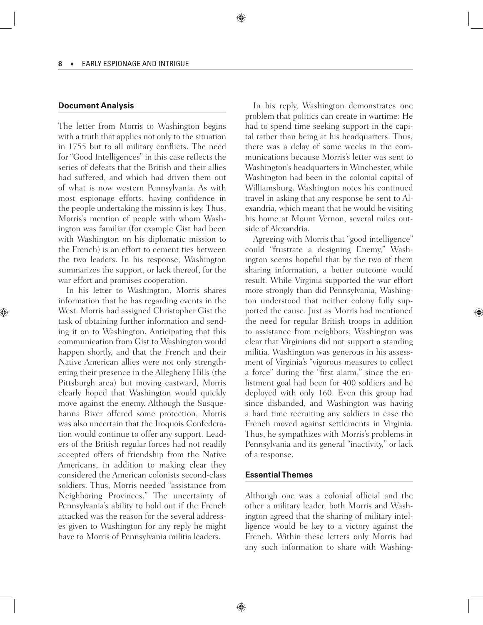#### **Document Analysis**

The letter from Morris to Washington begins with a truth that applies not only to the situation in 1755 but to all military conflicts. The need for "Good Intelligences" in this case reflects the series of defeats that the British and their allies had suffered, and which had driven them out of what is now western Pennsylvania. As with most espionage efforts, having confidence in the people undertaking the mission is key. Thus, Morris's mention of people with whom Washington was familiar (for example Gist had been with Washington on his diplomatic mission to the French) is an effort to cement ties between the two leaders. In his response, Washington summarizes the support, or lack thereof, for the war effort and promises cooperation.

In his letter to Washington, Morris shares information that he has regarding events in the West. Morris had assigned Christopher Gist the task of obtaining further information and sending it on to Washington. Anticipating that this communication from Gist to Washington would happen shortly, and that the French and their Native American allies were not only strengthening their presence in the Allegheny Hills (the Pittsburgh area) but moving eastward, Morris clearly hoped that Washington would quickly move against the enemy. Although the Susquehanna River offered some protection, Morris was also uncertain that the Iroquois Confederation would continue to offer any support. Leaders of the British regular forces had not readily accepted offers of friendship from the Native Americans, in addition to making clear they considered the American colonists second-class soldiers. Thus, Morris needed "assistance from Neighboring Provinces." The uncertainty of Pennsylvania's ability to hold out if the French attacked was the reason for the several addresses given to Washington for any reply he might have to Morris of Pennsylvania militia leaders.

In his reply, Washington demonstrates one problem that politics can create in wartime: He had to spend time seeking support in the capital rather than being at his headquarters. Thus, there was a delay of some weeks in the communications because Morris's letter was sent to Washington's headquarters in Winchester, while Washington had been in the colonial capital of Williamsburg. Washington notes his continued travel in asking that any response be sent to Alexandria, which meant that he would be visiting his home at Mount Vernon, several miles outside of Alexandria.

Agreeing with Morris that "good intelligence" could "frustrate a designing Enemy," Washington seems hopeful that by the two of them sharing information, a better outcome would result. While Virginia supported the war effort more strongly than did Pennsylvania, Washington understood that neither colony fully supported the cause. Just as Morris had mentioned the need for regular British troops in addition to assistance from neighbors, Washington was clear that Virginians did not support a standing militia. Washington was generous in his assessment of Virginia's "vigorous measures to collect a force" during the "first alarm," since the enlistment goal had been for 400 soldiers and he deployed with only 160. Even this group had since disbanded, and Washington was having a hard time recruiting any soldiers in case the French moved against settlements in Virginia. Thus, he sympathizes with Morris's problems in Pennsylvania and its general "inactivity," or lack of a response.

#### **Essential Themes**

Although one was a colonial official and the other a military leader, both Morris and Washington agreed that the sharing of military intelligence would be key to a victory against the French. Within these letters only Morris had any such information to share with Washing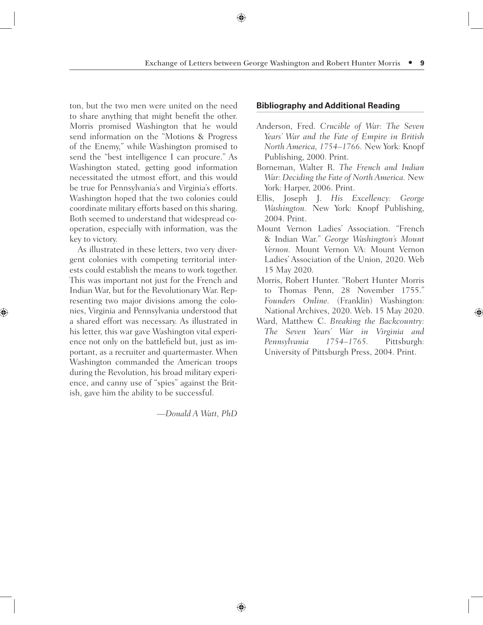ton, but the two men were united on the need to share anything that might benefit the other. Morris promised Washington that he would send information on the "Motions & Progress of the Enemy," while Washington promised to send the "best intelligence I can procure." As Washington stated, getting good information necessitated the utmost effort, and this would be true for Pennsylvania's and Virginia's efforts. Washington hoped that the two colonies could coordinate military efforts based on this sharing. Both seemed to understand that widespread cooperation, especially with information, was the key to victory.

As illustrated in these letters, two very divergent colonies with competing territorial interests could establish the means to work together. This was important not just for the French and Indian War, but for the Revolutionary War. Representing two major divisions among the colonies, Virginia and Pennsylvania understood that a shared effort was necessary. As illustrated in his letter, this war gave Washington vital experience not only on the battlefield but, just as important, as a recruiter and quartermaster. When Washington commanded the American troops during the Revolution, his broad military experience, and canny use of "spies" against the British, gave him the ability to be successful.

*—Donald A Watt, PhD* 

#### **Bibliography and Additional Reading**

- Anderson, Fred. *Crucible of War: The Seven Years' War and the Fate of Empire in British North America, 1754–1766.* New York: Knopf Publishing, 2000. Print.
- Borneman, Walter R. *The French and Indian War: Deciding the Fate of North America.* New York: Harper, 2006. Print.
- Ellis, Joseph J. *His Excellency: George Washington.* New York: Knopf Publishing, 2004. Print.
- Mount Vernon Ladies' Association. "French & Indian War." *George Washington's Mount Vernon.* Mount Vernon VA: Mount Vernon Ladies' Association of the Union, 2020. Web 15 May 2020.
- Morris, Robert Hunter. "Robert Hunter Morris to Thomas Penn, 28 November 1755." *Founders Online.* (Franklin) Washington: National Archives, 2020. Web. 15 May 2020.
- Ward, Matthew C. *Breaking the Backcountry: The Seven Years' War in Virginia and Pennsylvania 1754–1765.* Pittsburgh: University of Pittsburgh Press, 2004. Print.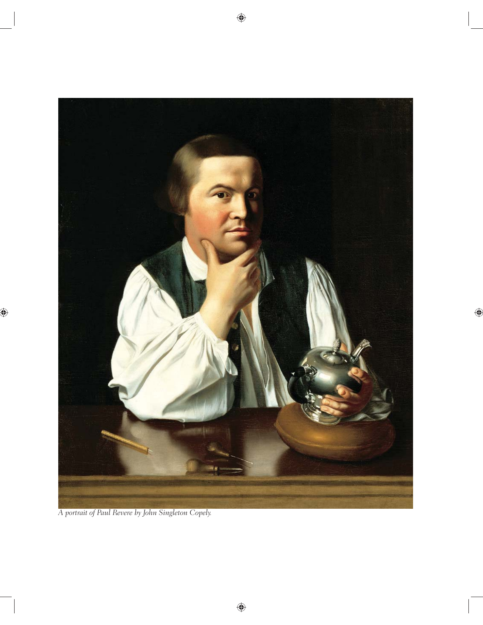

*A portrait of Paul Revere by John Singleton Copely.*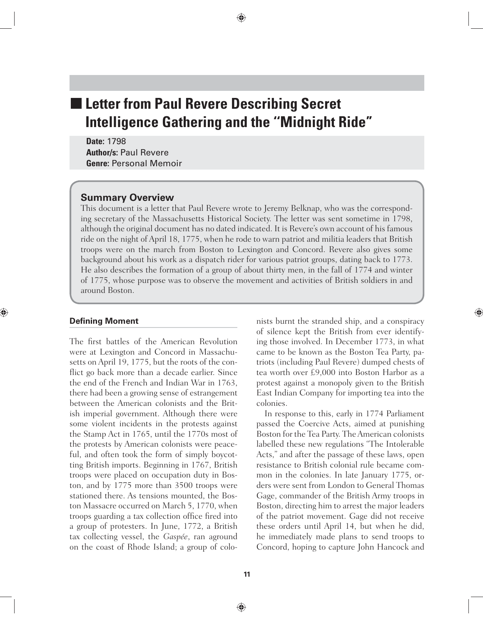# **Letter from Paul Revere Describing Secret Intelligence Gathering and the ''Midnight Ride"**

**Date:** 1798 **Author/s:** Paul Revere **Genre:** Personal Memoir

### **Summary Overview**

This document is a letter that Paul Revere wrote to Jeremy Belknap, who was the corresponding secretary of the Massachusetts Historical Society. The letter was sent sometime in 1798, although the original document has no dated indicated. It is Revere's own account of his famous ride on the night of April 18, 1775, when he rode to warn patriot and militia leaders that British troops were on the march from Boston to Lexington and Concord. Revere also gives some background about his work as a dispatch rider for various patriot groups, dating back to 1773. He also describes the formation of a group of about thirty men, in the fall of 1774 and winter of 1775, whose purpose was to observe the movement and activities of British soldiers in and around Boston.

#### **Defining Moment**

The first battles of the American Revolution were at Lexington and Concord in Massachusetts on April 19, 1775, but the roots of the conflict go back more than a decade earlier. Since the end of the French and Indian War in 1763, there had been a growing sense of estrangement between the American colonists and the British imperial government. Although there were some violent incidents in the protests against the Stamp Act in 1765, until the 1770s most of the protests by American colonists were peaceful, and often took the form of simply boycotting British imports. Beginning in 1767, British troops were placed on occupation duty in Boston, and by 1775 more than 3500 troops were stationed there. As tensions mounted, the Boston Massacre occurred on March 5, 1770, when troops guarding a tax collection office fired into a group of protesters. In June, 1772, a British tax collecting vessel, the *Gaspée*, ran aground on the coast of Rhode Island; a group of colonists burnt the stranded ship, and a conspiracy of silence kept the British from ever identifying those involved. In December 1773, in what came to be known as the Boston Tea Party, patriots (including Paul Revere) dumped chests of tea worth over £9,000 into Boston Harbor as a protest against a monopoly given to the British East Indian Company for importing tea into the colonies.

In response to this, early in 1774 Parliament passed the Coercive Acts, aimed at punishing Boston for the Tea Party. The American colonists labelled these new regulations "The Intolerable Acts," and after the passage of these laws, open resistance to British colonial rule became common in the colonies. In late January 1775, orders were sent from London to General Thomas Gage, commander of the British Army troops in Boston, directing him to arrest the major leaders of the patriot movement. Gage did not receive these orders until April 14, but when he did, he immediately made plans to send troops to Concord, hoping to capture John Hancock and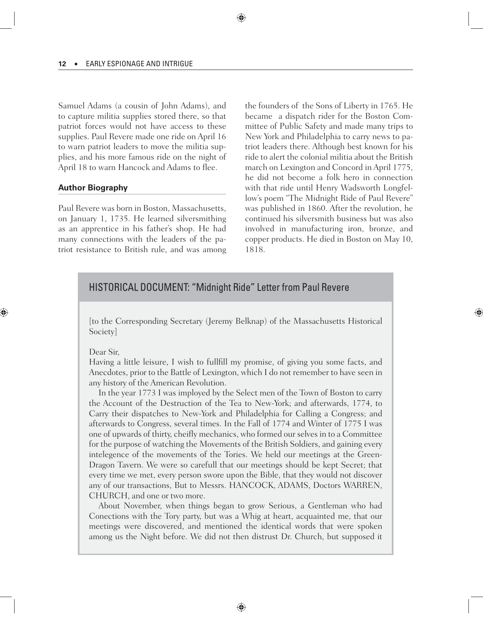Samuel Adams (a cousin of John Adams), and to capture militia supplies stored there, so that patriot forces would not have access to these supplies. Paul Revere made one ride on April 16 to warn patriot leaders to move the militia supplies, and his more famous ride on the night of April 18 to warn Hancock and Adams to flee.

#### **Author Biography**

Paul Revere was born in Boston, Massachusetts, on January 1, 1735. He learned silversmithing as an apprentice in his father's shop. He had many connections with the leaders of the patriot resistance to British rule, and was among the founders of the Sons of Liberty in 1765. He became a dispatch rider for the Boston Committee of Public Safety and made many trips to New York and Philadelphia to carry news to patriot leaders there. Although best known for his ride to alert the colonial militia about the British march on Lexington and Concord in April 1775, he did not become a folk hero in connection with that ride until Henry Wadsworth Longfellow's poem "The Midnight Ride of Paul Revere" was published in 1860. After the revolution, he continued his silversmith business but was also involved in manufacturing iron, bronze, and copper products. He died in Boston on May 10, 1818.

# HISTORICAL DOCUMENT: "Midnight Ride" Letter from Paul Revere

[to the Corresponding Secretary (Jeremy Belknap) of the Massachusetts Historical Society]

#### Dear Sir,

Having a little leisure, I wish to fullfill my promise, of giving you some facts, and Anecdotes, prior to the Battle of Lexington, which I do not remember to have seen in any history of the American Revolution.

In the year 1773 I was imployed by the Select men of the Town of Boston to carry the Account of the Destruction of the Tea to New-York; and afterwards, 1774, to Carry their dispatches to New-York and Philadelphia for Calling a Congress; and afterwards to Congress, several times. In the Fall of 1774 and Winter of 1775 I was one of upwards of thirty, cheifly mechanics, who formed our selves in to a Committee for the purpose of watching the Movements of the British Soldiers, and gaining every intelegence of the movements of the Tories. We held our meetings at the Green-Dragon Tavern. We were so carefull that our meetings should be kept Secret; that every time we met, every person swore upon the Bible, that they would not discover any of our transactions, But to Messrs. HANCOCK, ADAMS, Doctors WARREN, CHURCH, and one or two more.

About November, when things began to grow Serious, a Gentleman who had Conections with the Tory party, but was a Whig at heart, acquainted me, that our meetings were discovered, and mentioned the identical words that were spoken among us the Night before. We did not then distrust Dr. Church, but supposed it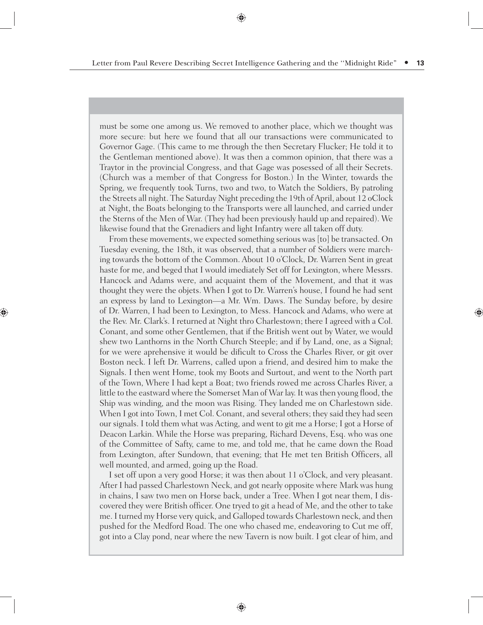must be some one among us. We removed to another place, which we thought was more secure: but here we found that all our transactions were communicated to Governor Gage. (This came to me through the then Secretary Flucker; He told it to the Gentleman mentioned above). It was then a common opinion, that there was a Traytor in the provincial Congress, and that Gage was posessed of all their Secrets. (Church was a member of that Congress for Boston.) In the Winter, towards the Spring, we frequently took Turns, two and two, to Watch the Soldiers, By patroling the Streets all night. The Saturday Night preceding the 19th of April, about 12 oClock at Night, the Boats belonging to the Transports were all launched, and carried under the Sterns of the Men of War. (They had been previously hauld up and repaired). We likewise found that the Grenadiers and light Infantry were all taken off duty.

From these movements, we expected something serious was [to] be transacted. On Tuesday evening, the 18th, it was observed, that a number of Soldiers were marching towards the bottom of the Common. About 10 o'Clock, Dr. Warren Sent in great haste for me, and beged that I would imediately Set off for Lexington, where Messrs. Hancock and Adams were, and acquaint them of the Movement, and that it was thought they were the objets. When I got to Dr. Warren's house, I found he had sent an express by land to Lexington—a Mr. Wm. Daws. The Sunday before, by desire of Dr. Warren, I had been to Lexington, to Mess. Hancock and Adams, who were at the Rev. Mr. Clark's. I returned at Night thro Charlestown; there I agreed with a Col. Conant, and some other Gentlemen, that if the British went out by Water, we would shew two Lanthorns in the North Church Steeple; and if by Land, one, as a Signal; for we were aprehensive it would be dificult to Cross the Charles River, or git over Boston neck. I left Dr. Warrens, called upon a friend, and desired him to make the Signals. I then went Home, took my Boots and Surtout, and went to the North part of the Town, Where I had kept a Boat; two friends rowed me across Charles River, a little to the eastward where the Somerset Man of War lay. It was then young flood, the Ship was winding, and the moon was Rising. They landed me on Charlestown side. When I got into Town, I met Col. Conant, and several others; they said they had seen our signals. I told them what was Acting, and went to git me a Horse; I got a Horse of Deacon Larkin. While the Horse was preparing, Richard Devens, Esq. who was one of the Committee of Safty, came to me, and told me, that he came down the Road from Lexington, after Sundown, that evening; that He met ten British Officers, all well mounted, and armed, going up the Road.

I set off upon a very good Horse; it was then about 11 o'Clock, and very pleasant. After I had passed Charlestown Neck, and got nearly opposite where Mark was hung in chains, I saw two men on Horse back, under a Tree. When I got near them, I discovered they were British officer. One tryed to git a head of Me, and the other to take me. I turned my Horse very quick, and Galloped towards Charlestown neck, and then pushed for the Medford Road. The one who chased me, endeavoring to Cut me off, got into a Clay pond, near where the new Tavern is now built. I got clear of him, and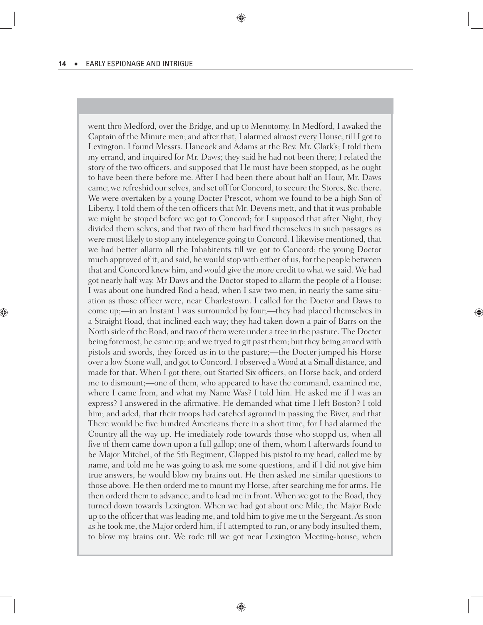went thro Medford, over the Bridge, and up to Menotomy. In Medford, I awaked the Captain of the Minute men; and after that, I alarmed almost every House, till I got to Lexington. I found Messrs. Hancock and Adams at the Rev. Mr. Clark's; I told them my errand, and inquired for Mr. Daws; they said he had not been there; I related the story of the two officers, and supposed that He must have been stopped, as he ought to have been there before me. After I had been there about half an Hour, Mr. Daws came; we refreshid our selves, and set off for Concord, to secure the Stores, &c. there. We were overtaken by a young Docter Prescot, whom we found to be a high Son of Liberty. I told them of the ten officers that Mr. Devens mett, and that it was probable we might be stoped before we got to Concord; for I supposed that after Night, they divided them selves, and that two of them had fixed themselves in such passages as were most likely to stop any intelegence going to Concord. I likewise mentioned, that we had better allarm all the Inhabitents till we got to Concord; the young Doctor much approved of it, and said, he would stop with either of us, for the people between that and Concord knew him, and would give the more credit to what we said. We had got nearly half way. Mr Daws and the Doctor stoped to allarm the people of a House: I was about one hundred Rod a head, when I saw two men, in nearly the same situation as those officer were, near Charlestown. I called for the Doctor and Daws to come up;—in an Instant I was surrounded by four;—they had placed themselves in a Straight Road, that inclined each way; they had taken down a pair of Barrs on the North side of the Road, and two of them were under a tree in the pasture. The Docter being foremost, he came up; and we tryed to git past them; but they being armed with pistols and swords, they forced us in to the pasture;—the Docter jumped his Horse over a low Stone wall, and got to Concord. I observed a Wood at a Small distance, and made for that. When I got there, out Started Six officers, on Horse back, and orderd me to dismount;—one of them, who appeared to have the command, examined me, where I came from, and what my Name Was? I told him. He asked me if I was an express? I answered in the afirmative. He demanded what time I left Boston? I told him; and aded, that their troops had catched aground in passing the River, and that There would be five hundred Americans there in a short time, for I had alarmed the Country all the way up. He imediately rode towards those who stoppd us, when all five of them came down upon a full gallop; one of them, whom I afterwards found to be Major Mitchel, of the 5th Regiment, Clapped his pistol to my head, called me by name, and told me he was going to ask me some questions, and if I did not give him true answers, he would blow my brains out. He then asked me similar questions to those above. He then orderd me to mount my Horse, after searching me for arms. He then orderd them to advance, and to lead me in front. When we got to the Road, they turned down towards Lexington. When we had got about one Mile, the Major Rode up to the officer that was leading me, and told him to give me to the Sergeant. As soon as he took me, the Major orderd him, if I attempted to run, or any body insulted them, to blow my brains out. We rode till we got near Lexington Meeting-house, when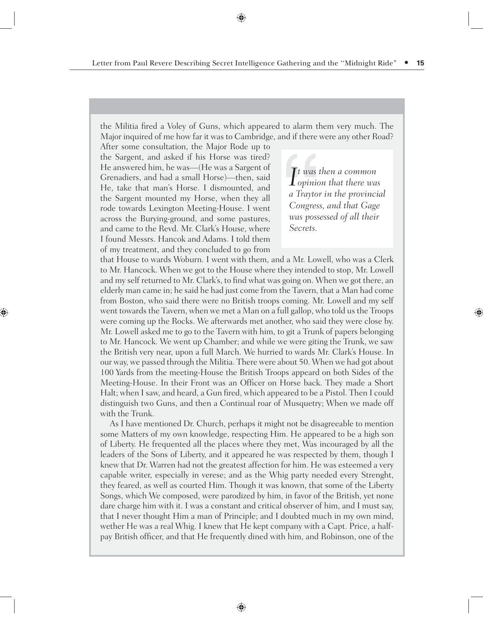the Militia fired a Voley of Guns, which appeared to alarm them very much. The Major inquired of me how far it was to Cambridge, and if there were any other Road?

After some consultation, the Major Rode up to the Sargent, and asked if his Horse was tired? He answered him, he was—(He was a Sargent of Grenadiers, and had a small Horse)—then, said He, take that man's Horse. I dismounted, and the Sargent mounted my Horse, when they all rode towards Lexington Meeting-House. I went across the Burying-ground, and some pastures, and came to the Revd. Mr. Clark's House, where I found Messrs. Hancok and Adams. I told them of my treatment, and they concluded to go from

*I t was then a common opinion that there was a Traytor in the provincial Congress, and that Gage was possessed of all their Secrets.*

that House to wards Woburn. I went with them, and a Mr. Lowell, who was a Clerk to Mr. Hancock. When we got to the House where they intended to stop, Mr. Lowell and my self returned to Mr. Clark's, to find what was going on. When we got there, an elderly man came in; he said he had just come from the Tavern, that a Man had come from Boston, who said there were no British troops coming. Mr. Lowell and my self went towards the Tavern, when we met a Man on a full gallop, who told us the Troops were coming up the Rocks. We afterwards met another, who said they were close by. Mr. Lowell asked me to go to the Tavern with him, to git a Trunk of papers belonging to Mr. Hancock. We went up Chamber; and while we were giting the Trunk, we saw the British very near, upon a full March. We hurried to wards Mr. Clark's House. In our way, we passed through the Militia. There were about 50. When we had got about 100 Yards from the meeting-House the British Troops appeard on both Sides of the Meeting-House. In their Front was an Officer on Horse back. They made a Short Halt; when I saw, and heard, a Gun fired, which appeared to be a Pistol. Then I could distinguish two Guns, and then a Continual roar of Musquetry; When we made off with the Trunk.

As I have mentioned Dr. Church, perhaps it might not be disagreeable to mention some Matters of my own knowledge, respecting Him. He appeared to be a high son of Liberty. He frequented all the places where they met, Was incouraged by all the leaders of the Sons of Liberty, and it appeared he was respected by them, though I knew that Dr. Warren had not the greatest affection for him. He was esteemed a very capable writer, especially in verese; and as the Whig party needed every Strenght, they feared, as well as courted Him. Though it was known, that some of the Liberty Songs, which We composed, were parodized by him, in favor of the British, yet none dare charge him with it. I was a constant and critical observer of him, and I must say, that I never thought Him a man of Principle; and I doubted much in my own mind, wether He was a real Whig. I knew that He kept company with a Capt. Price, a halfpay British officer, and that He frequently dined with him, and Robinson, one of the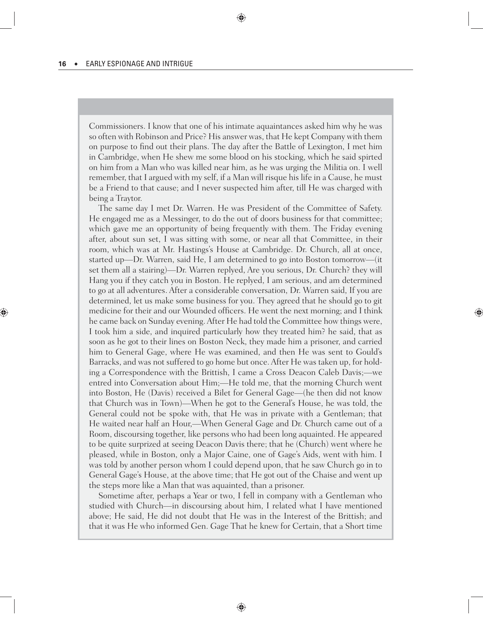Commissioners. I know that one of his intimate aquaintances asked him why he was so often with Robinson and Price? His answer was, that He kept Company with them on purpose to find out their plans. The day after the Battle of Lexington, I met him in Cambridge, when He shew me some blood on his stocking, which he said spirted on him from a Man who was killed near him, as he was urging the Militia on. I well remember, that I argued with my self, if a Man will risque his life in a Cause, he must be a Friend to that cause; and I never suspected him after, till He was charged with being a Traytor.

The same day I met Dr. Warren. He was President of the Committee of Safety. He engaged me as a Messinger, to do the out of doors business for that committee; which gave me an opportunity of being frequently with them. The Friday evening after, about sun set, I was sitting with some, or near all that Committee, in their room, which was at Mr. Hastings's House at Cambridge. Dr. Church, all at once, started up—Dr. Warren, said He, I am determined to go into Boston tomorrow—(it set them all a stairing)—Dr. Warren replyed, Are you serious, Dr. Church? they will Hang you if they catch you in Boston. He replyed, I am serious, and am determined to go at all adventures. After a considerable conversation, Dr. Warren said, If you are determined, let us make some business for you. They agreed that he should go to git medicine for their and our Wounded officers. He went the next morning; and I think he came back on Sunday evening. After He had told the Committee how things were, I took him a side, and inquired particularly how they treated him? he said, that as soon as he got to their lines on Boston Neck, they made him a prisoner, and carried him to General Gage, where He was examined, and then He was sent to Gould's Barracks, and was not suffered to go home but once. After He was taken up, for holding a Correspondence with the Brittish, I came a Cross Deacon Caleb Davis;—we entred into Conversation about Him;—He told me, that the morning Church went into Boston, He (Davis) received a Bilet for General Gage—(he then did not know that Church was in Town)—When he got to the General's House, he was told, the General could not be spoke with, that He was in private with a Gentleman; that He waited near half an Hour,—When General Gage and Dr. Church came out of a Room, discoursing together, like persons who had been long aquainted. He appeared to be quite surprized at seeing Deacon Davis there; that he (Church) went where he pleased, while in Boston, only a Major Caine, one of Gage's Aids, went with him. I was told by another person whom I could depend upon, that he saw Church go in to General Gage's House, at the above time; that He got out of the Chaise and went up the steps more like a Man that was aquainted, than a prisoner.

Sometime after, perhaps a Year or two, I fell in company with a Gentleman who studied with Church—in discoursing about him, I related what I have mentioned above; He said, He did not doubt that He was in the Interest of the Brittish; and that it was He who informed Gen. Gage That he knew for Certain, that a Short time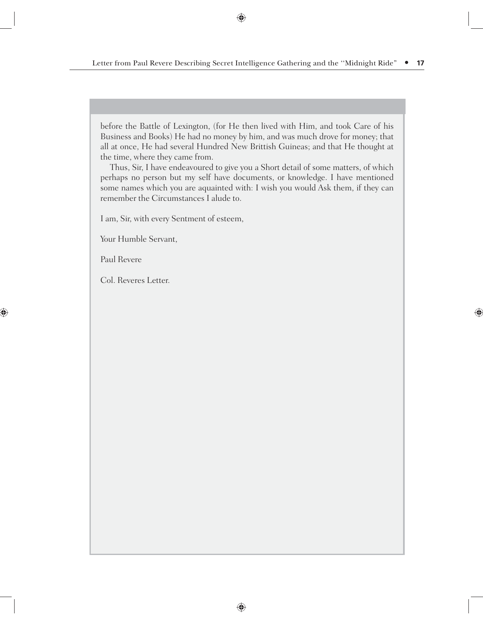before the Battle of Lexington, (for He then lived with Him, and took Care of his Business and Books) He had no money by him, and was much drove for money; that all at once, He had several Hundred New Brittish Guineas; and that He thought at the time, where they came from.

Thus, Sir, I have endeavoured to give you a Short detail of some matters, of which perhaps no person but my self have documents, or knowledge. I have mentioned some names which you are aquainted with: I wish you would Ask them, if they can remember the Circumstances I alude to.

I am, Sir, with every Sentment of esteem,

Your Humble Servant,

Paul Revere

Col. Reveres Letter.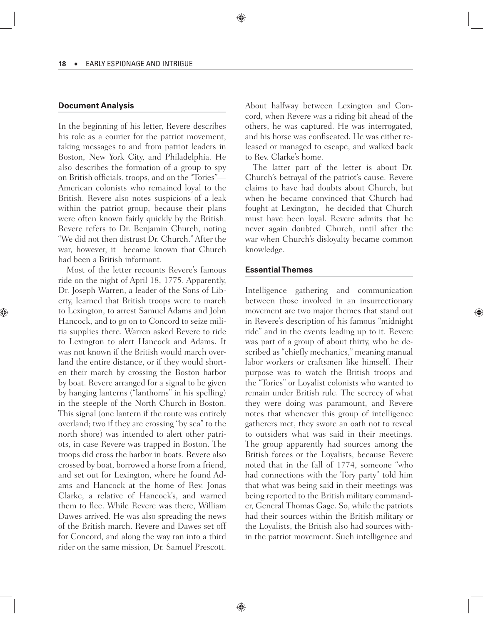#### **Document Analysis**

In the beginning of his letter, Revere describes his role as a courier for the patriot movement, taking messages to and from patriot leaders in Boston, New York City, and Philadelphia. He also describes the formation of a group to spy on British officials, troops, and on the "Tories"-American colonists who remained loyal to the British. Revere also notes suspicions of a leak within the patriot group, because their plans were often known fairly quickly by the British. Revere refers to Dr. Benjamin Church, noting "We did not then distrust Dr. Church." After the war, however, it became known that Church had been a British informant.

Most of the letter recounts Revere's famous ride on the night of April 18, 1775. Apparently, Dr. Joseph Warren, a leader of the Sons of Liberty, learned that British troops were to march to Lexington, to arrest Samuel Adams and John Hancock, and to go on to Concord to seize militia supplies there. Warren asked Revere to ride to Lexington to alert Hancock and Adams. It was not known if the British would march overland the entire distance, or if they would shorten their march by crossing the Boston harbor by boat. Revere arranged for a signal to be given by hanging lanterns ("lanthorns" in his spelling) in the steeple of the North Church in Boston. This signal (one lantern if the route was entirely overland; two if they are crossing "by sea" to the north shore) was intended to alert other patriots, in case Revere was trapped in Boston. The troops did cross the harbor in boats. Revere also crossed by boat, borrowed a horse from a friend, and set out for Lexington, where he found Adams and Hancock at the home of Rev. Jonas Clarke, a relative of Hancock's, and warned them to flee. While Revere was there, William Dawes arrived. He was also spreading the news of the British march. Revere and Dawes set off for Concord, and along the way ran into a third rider on the same mission, Dr. Samuel Prescott.

About halfway between Lexington and Concord, when Revere was a riding bit ahead of the others, he was captured. He was interrogated, and his horse was confiscated. He was either released or managed to escape, and walked back to Rev. Clarke's home.

The latter part of the letter is about Dr. Church's betrayal of the patriot's cause. Revere claims to have had doubts about Church, but when he became convinced that Church had fought at Lexington, he decided that Church must have been loyal. Revere admits that he never again doubted Church, until after the war when Church's disloyalty became common knowledge.

#### **Essent ial Themes**

Intelligence gathering and communication between those involved in an insurrectionary movement are two major themes that stand out in Revere's description of his famous "midnight ride" and in the events leading up to it. Revere was part of a group of about thirty, who he described as "chiefly mechanics," meaning manual labor workers or craftsmen like himself. Their purpose was to watch the British troops and the "Tories" or Loyalist colonists who wanted to remain under British rule. The secrecy of what they were doing was paramount, and Revere notes that whenever this group of intelligence gatherers met, they swore an oath not to reveal to outsiders what was said in their meetings. The group apparently had sources among the British forces or the Loyalists, because Revere noted that in the fall of 1774, someone "who had connections with the Tory party" told him that what was being said in their meetings was being reported to the British military commander, General Thomas Gage. So, while the patriots had their sources within the British military or the Loyalists, the British also had sources within the patriot movement. Such intelligence and